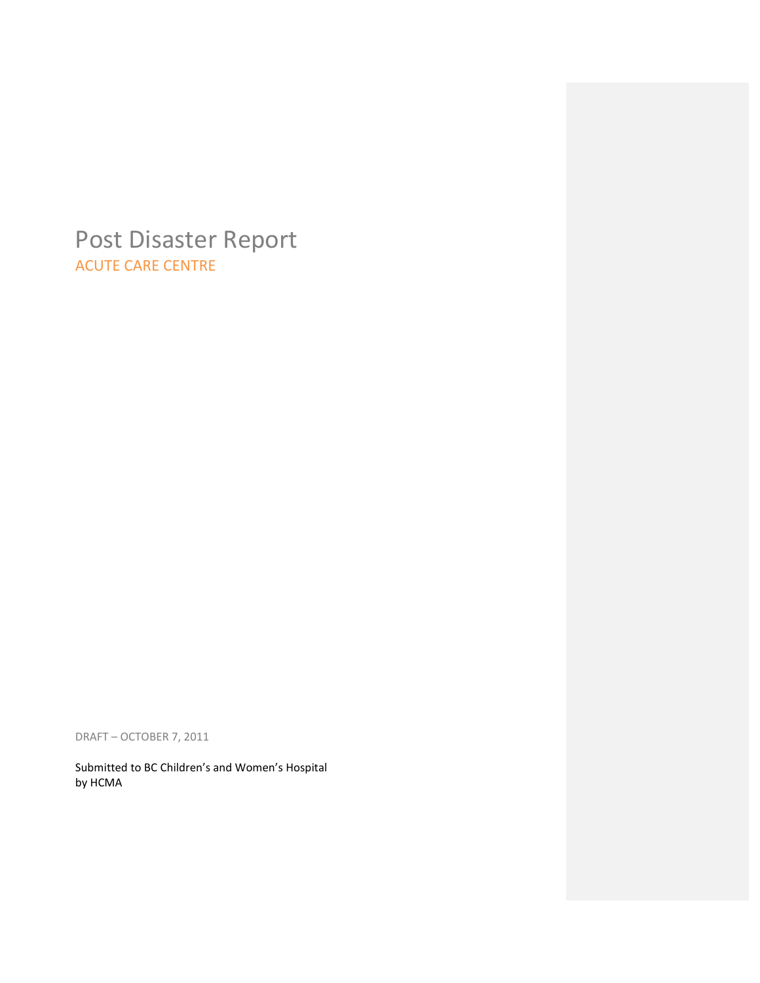# Post Disaster Report ACUTE CARE CENTRE

DRAFT – OCTOBER 7, 2011

Submitted to BC Children's and Women's Hospital by HCMA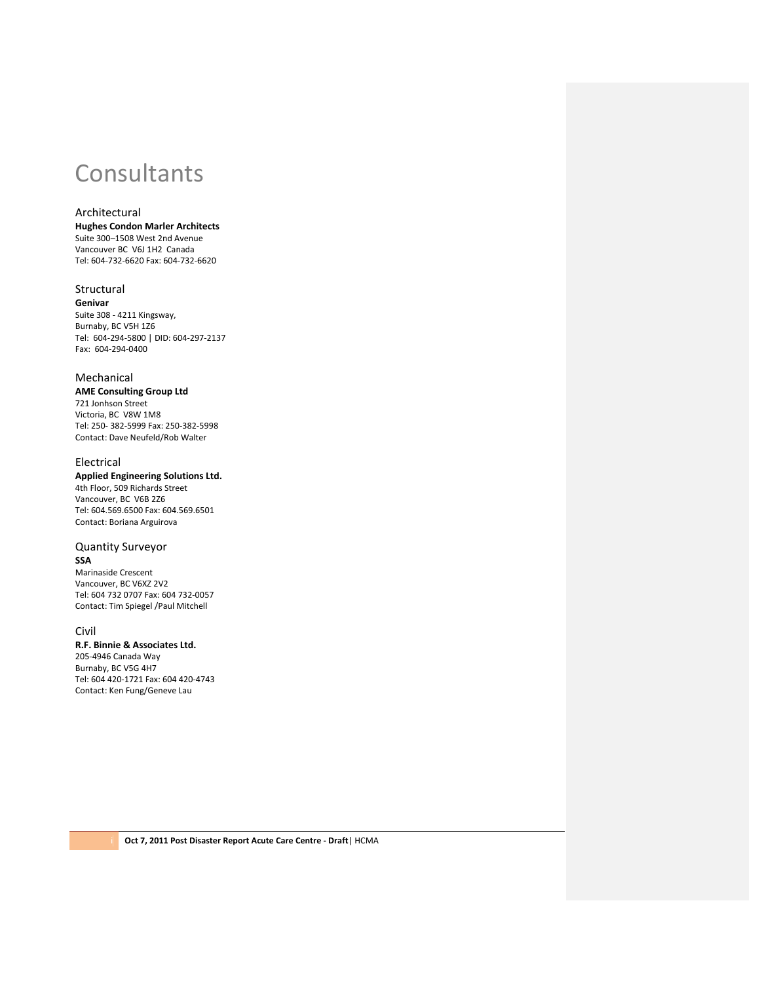# **Consultants**

# Architectural

**Hughes Condon Marler Architects** Suite 300–1508 West 2nd Avenue Vancouver BC V6J 1H2 Canada Tel: 604‐732‐6620 Fax: 604‐732‐6620

#### Structural

**Genivar** Suite 308 ‐ 4211 Kingsway, Burnaby, BC V5H 1Z6 Tel: 604‐294‐5800 | DID: 604‐297‐2137 Fax: 604‐294‐0400

### Mechanical

**AME Consulting Group Ltd**

721 Jonhson Street Victoria, BC V8W 1M8 Tel: 250‐ 382‐5999 Fax: 250‐382‐5998 Contact: Dave Neufeld/Rob Walter

#### Electrical

**Applied Engineering Solutions Ltd.** 4th Floor, 509 Richards Street Vancouver, BC V6B 2Z6 Tel: 604.569.6500 Fax: 604.569.6501 Contact: Boriana Arguirova

#### Quantity Surveyor **SSA**

Marinaside Crescent Vancouver, BC V6XZ 2V2 Tel: 604 732 0707 Fax: 604 732‐0057 Contact: Tim Spiegel /Paul Mitchell

#### Civil

**R.F. Binnie & Associates Ltd.**

205‐4946 Canada Way Burnaby, BC V5G 4H7 Tel: 604 420‐1721 Fax: 604 420‐4743 Contact: Ken Fung/Geneve Lau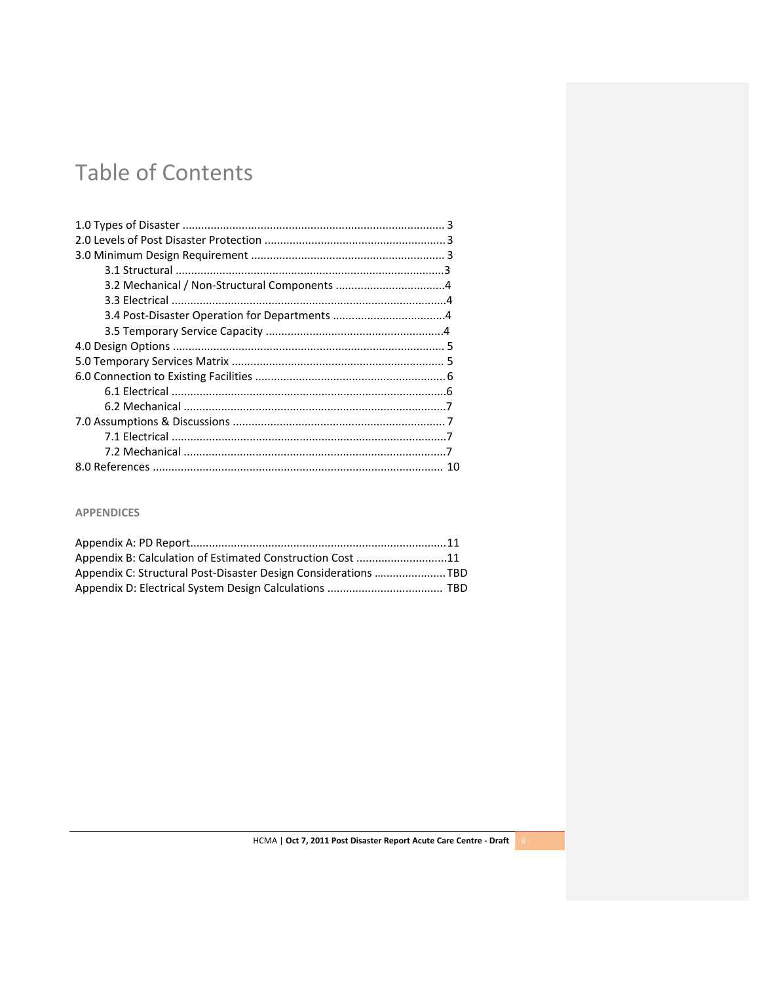# Table of Contents

# **APPENDICES**

| Appendix B: Calculation of Estimated Construction Cost 11      |  |
|----------------------------------------------------------------|--|
| Appendix C: Structural Post-Disaster Design Considerations TBD |  |
|                                                                |  |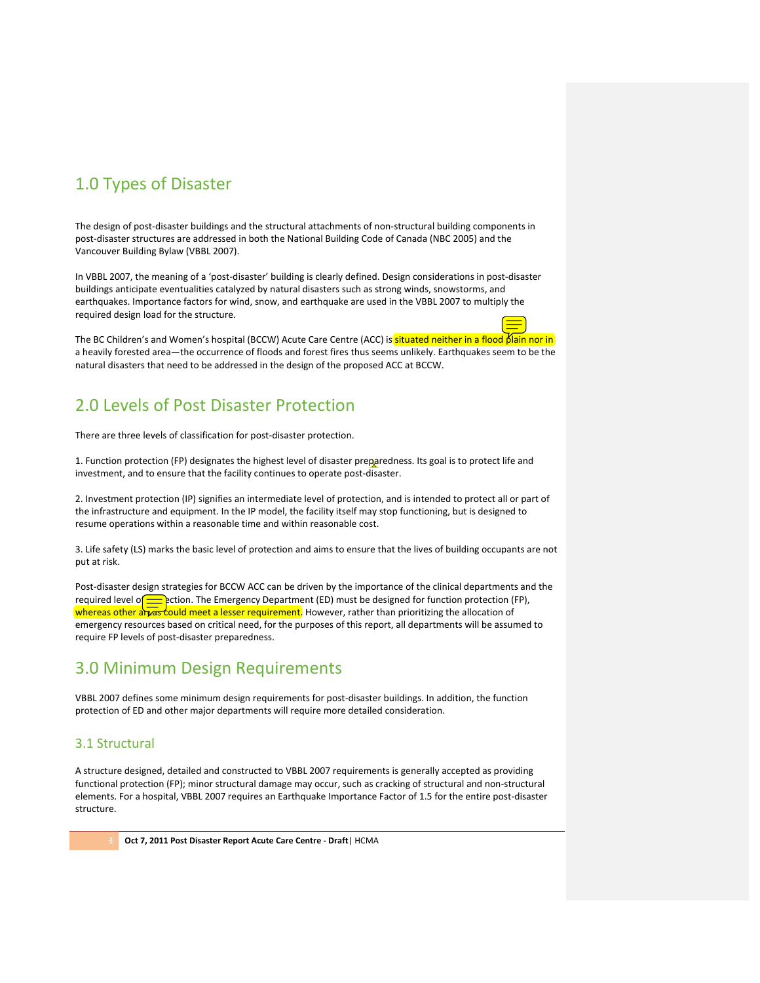# 1.0 Types of Disaster

The design of post-disaster buildings and the structural attachments of non-structural building components in post‐disaster structures are addressed in both the National Building Code of Canada (NBC 2005) and the Vancouver Building Bylaw (VBBL 2007).

In VBBL 2007, the meaning of a 'post‐disaster' building is clearly defined. Design considerations in post‐disaster buildings anticipate eventualities catalyzed by natural disasters such as strong winds, snowstorms, and earthquakes. Importance factors for wind, snow, and earthquake are used in the VBBL 2007 to multiply the required design load for the structure.

The BC Children's and Women's hospital (BCCW) Acute Care Centre (ACC) is situated neither in a flood plain nor in a heavily forested area—the occurrence of floods and forest fires thus seems unlikely. Earthquakes seem to be the natural disasters that need to be addressed in the design of the proposed ACC at BCCW.

# 2.0 Levels of Post Disaster Protection

There are three levels of classification for post‐disaster protection.

1. Function protection (FP) designates the highest level of disaster preparedness. Its goal is to protect life and investment, and to ensure that the facility continues to operate post-disaster.

2. Investment protection (IP) signifies an intermediate level of protection, and is intended to protect all or part of the infrastructure and equipment. In the IP model, the facility itself may stop functioning, but is designed to resume operations within a reasonable time and within reasonable cost.

3. Life safety (LS) marks the basic level of protection and aims to ensure that the lives of building occupants are not put at risk.

Post-disaster design strategies for BCCW ACC can be driven by the importance of the clinical departments and the required level of protection. The Emergency Department (ED) must be designed for function protection (FP), whereas other areas could meet a lesser requirement. However, rather than prioritizing the allocation of emergency resources based on critical need, for the purposes of this report, all departments will be assumed to require FP levels of post‐disaster preparedness.

# 3.0 Minimum Design Requirements

VBBL 2007 defines some minimum design requirements for post‐disaster buildings. In addition, the function protection of ED and other major departments will require more detailed consideration.

# 3.1 Structural

A structure designed, detailed and constructed to VBBL 2007 requirements is generally accepted as providing functional protection (FP); minor structural damage may occur, such as cracking of structural and non-structural elements. For a hospital, VBBL 2007 requires an Earthquake Importance Factor of 1.5 for the entire post‐disaster structure.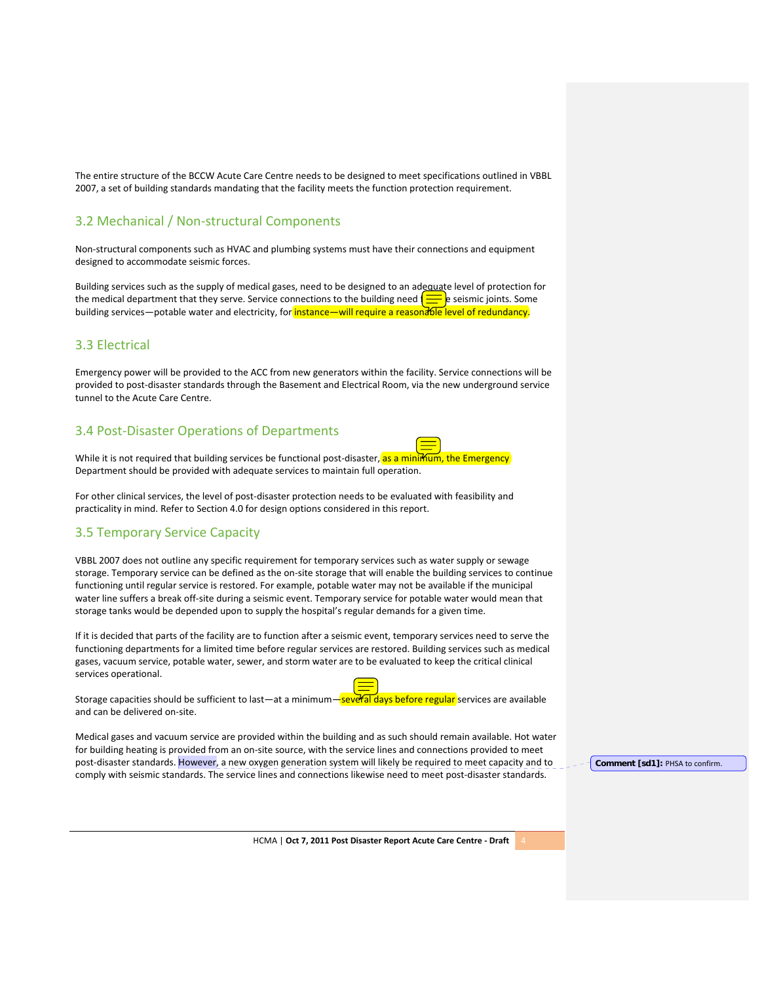The entire structure of the BCCW Acute Care Centre needs to be designed to meet specifications outlined in VBBL 2007, a set of building standards mandating that the facility meets the function protection requirement.

# 3.2 Mechanical / Non‐structural Components

Non‐structural components such as HVAC and plumbing systems must have their connections and equipment designed to accommodate seismic forces.

Building services such as the supply of medical gases, need to be designed to an adequate level of protection for the medical department that they serve. Service connections to the building need  $\equiv$  e seismic joints. Some building services—potable water and electricity, for *instance—will require a reasonable level of redundancy*.

# 3.3 Electrical

Emergency power will be provided to the ACC from new generators within the facility. Service connections will be provided to post‐disaster standards through the Basement and Electrical Room, via the new underground service tunnel to the Acute Care Centre.

# 3.4 Post‐Disaster Operations of Departments



While it is not required that building services be functional post-disaster, as a minimum, the Emergency Department should be provided with adequate services to maintain full operation.

For other clinical services, the level of post‐disaster protection needs to be evaluated with feasibility and practicality in mind. Refer to Section 4.0 for design options considered in this report.

# 3.5 Temporary Service Capacity

VBBL 2007 does not outline any specific requirement for temporary services such as water supply or sewage storage. Temporary service can be defined as the on‐site storage that will enable the building services to continue functioning until regular service is restored. For example, potable water may not be available if the municipal water line suffers a break off‐site during a seismic event. Temporary service for potable water would mean that storage tanks would be depended upon to supply the hospital's regular demands for a given time.

If it is decided that parts of the facility are to function after a seismic event, temporary services need to serve the functioning departments for a limited time before regular services are restored. Building services such as medical gases, vacuum service, potable water, sewer, and storm water are to be evaluated to keep the critical clinical services operational.

Storage capacities should be sufficient to last—at a minimum—several days before regular services are available and can be delivered on‐site.

Medical gases and vacuum service are provided within the building and as such should remain available. Hot water for building heating is provided from an on-site source, with the service lines and connections provided to meet post-disaster standards. However, a new oxygen generation system will likely be required to meet capacity and to comply with seismic standards. The service lines and connections likewise need to meet post-disaster standards.

**Comment [sd1]:** PHSA to confirm.

HCMA | **Oct 7, 2011 Post Disaster Report Acute Care Centre ‐ Draft** 4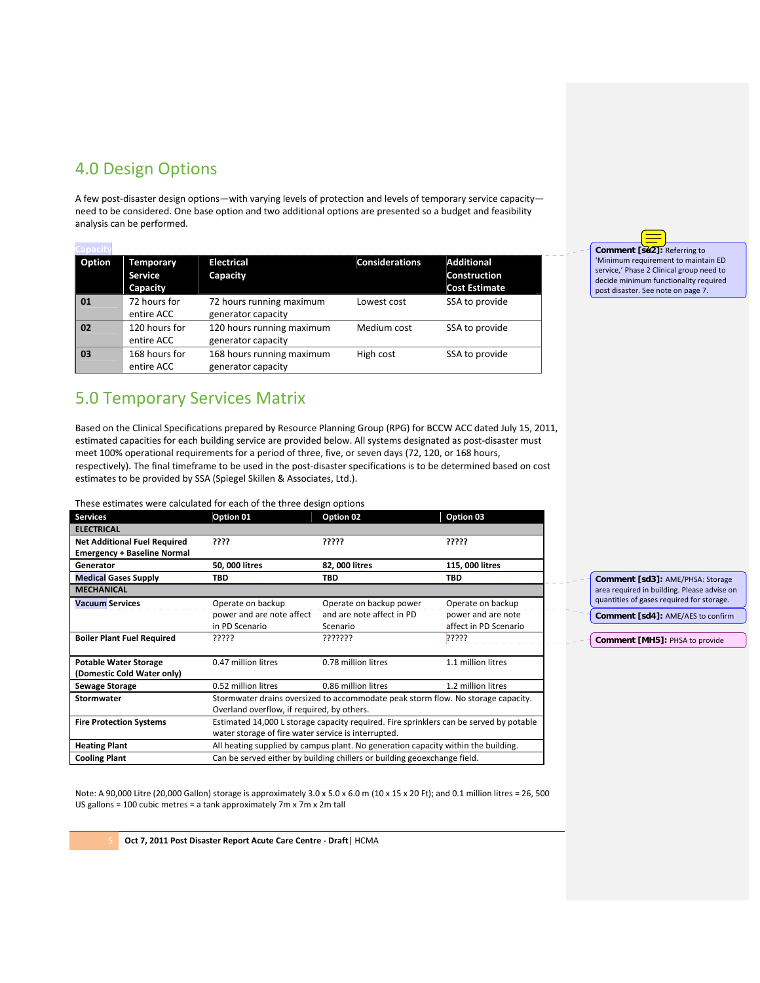# 4.0 Design Options

A few post‐disaster design options—with varying levels of protection and levels of temporary service capacity need to be considered. One base option and two additional options are presented so a budget and feasibility analysis can be performed.

| apacit |                                         |                                                 |                       |                                                                  |
|--------|-----------------------------------------|-------------------------------------------------|-----------------------|------------------------------------------------------------------|
| Option | Temporary<br><b>Service</b><br>Capacity | <b>Electrical</b><br>Capacity                   | <b>Considerations</b> | <b>Additional</b><br><b>Construction</b><br><b>Cost Estimate</b> |
| 01     | 72 hours for<br>entire ACC              | 72 hours running maximum<br>generator capacity  | Lowest cost           | SSA to provide                                                   |
| 02     | 120 hours for<br>entire ACC             | 120 hours running maximum<br>generator capacity | Medium cost           | SSA to provide                                                   |
| 03     | 168 hours for<br>entire ACC             | 168 hours running maximum<br>generator capacity | High cost             | SSA to provide                                                   |

# 5.0 Temporary Services Matrix

Based on the Clinical Specifications prepared by Resource Planning Group (RPG) for BCCW ACC dated July 15, 2011, estimated capacities for each building service are provided below. All systems designated as post‐disaster must meet 100% operational requirements for a period of three, five, or seven days (72, 120, or 168 hours, respectively). The final timeframe to be used in the post‐disaster specifications is to be determined based on cost estimates to be provided by SSA (Spiegel Skillen & Associates, Ltd.).

These estimates were calculated for each of the three design options

| <b>Services</b>                     | Option 01                                                                              | Option 02                 | Option 03             |  |
|-------------------------------------|----------------------------------------------------------------------------------------|---------------------------|-----------------------|--|
| <b>ELECTRICAL</b>                   |                                                                                        |                           |                       |  |
| <b>Net Additional Fuel Required</b> | ????                                                                                   | ?????                     | ?????                 |  |
| <b>Emergency + Baseline Normal</b>  |                                                                                        |                           |                       |  |
| Generator                           | 50, 000 litres                                                                         | 82, 000 litres            | 115, 000 litres       |  |
| <b>Medical Gases Supply</b>         | TBD                                                                                    | TBD                       | TBD                   |  |
| <b>MECHANICAL</b>                   |                                                                                        |                           |                       |  |
| <b>Vacuum Services</b>              | Operate on backup                                                                      | Operate on backup power   | Operate on backup     |  |
|                                     | power and are note affect                                                              | and are note affect in PD | power and are note    |  |
|                                     | in PD Scenario                                                                         | Scenario                  | affect in PD Scenario |  |
| <b>Boiler Plant Fuel Required</b>   | ?????                                                                                  | ???????                   | ??????                |  |
|                                     |                                                                                        |                           |                       |  |
| <b>Potable Water Storage</b>        | 0.47 million litres                                                                    | 0.78 million litres       | 1.1 million litres    |  |
| (Domestic Cold Water only)          |                                                                                        |                           |                       |  |
| <b>Sewage Storage</b>               | 0.52 million litres                                                                    | 0.86 million litres       | 1.2 million litres    |  |
| Stormwater                          | Stormwater drains oversized to accommodate peak storm flow. No storage capacity.       |                           |                       |  |
|                                     | Overland overflow, if required, by others.                                             |                           |                       |  |
| <b>Fire Protection Systems</b>      | Estimated 14,000 L storage capacity required. Fire sprinklers can be served by potable |                           |                       |  |
|                                     | water storage of fire water service is interrupted.                                    |                           |                       |  |
| <b>Heating Plant</b>                | All heating supplied by campus plant. No generation capacity within the building.      |                           |                       |  |
| <b>Cooling Plant</b>                | Can be served either by building chillers or building geoexchange field.               |                           |                       |  |

**Comment [sd2]:** Referring to 'Minimum requirement to maintain ED service,' Phase 2 Clinical group need to decide minimum functionality required post disaster. See note on page 7.

**Comment [sd3]:** AME/PHSA: Storage area required in building. Please advise on quantities of gases required for storage.

**Comment [sd4]:** AME/AES to confirm

**Comment [MH5]:** PHSA to provide

Note: A 90,000 Litre (20,000 Gallon) storage is approximately 3.0 x 5.0 x 6.0 m (10 x 15 x 20 Ft); and 0.1 million litres = 26, 500 US gallons = 100 cubic metres = a tank approximately 7m x 7m x 2m tall

5 **Oct 7, 2011 Post Disaster Report Acute Care Centre ‐ Draft**| HCMA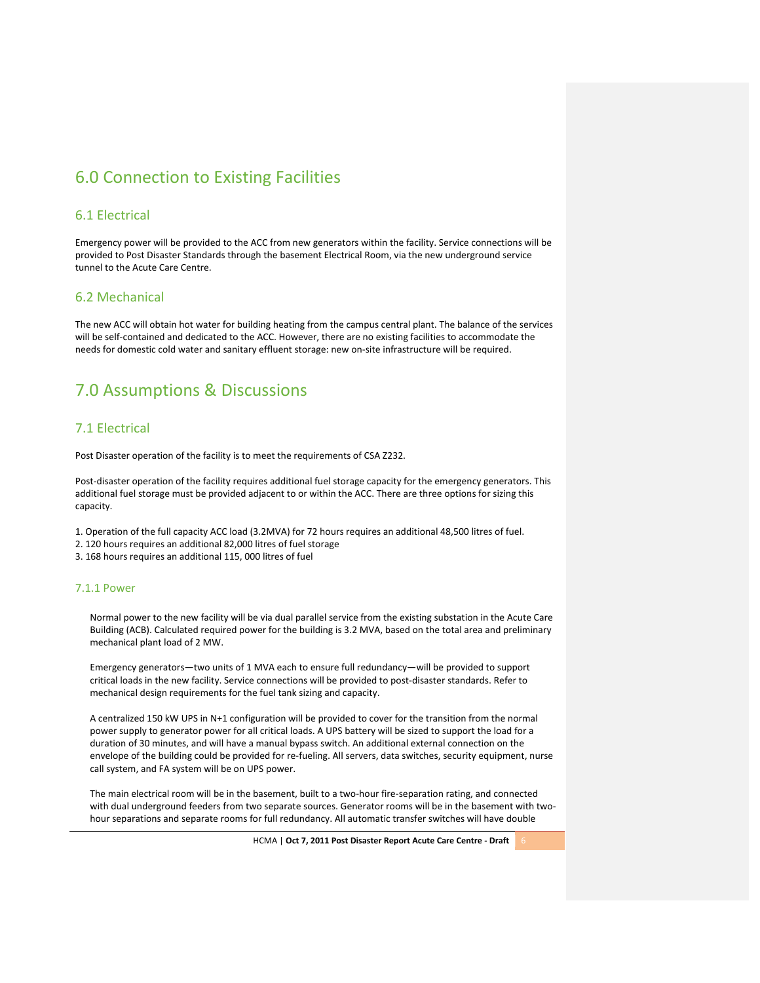# 6.0 Connection to Existing Facilities

### 6.1 Electrical

Emergency power will be provided to the ACC from new generators within the facility. Service connections will be provided to Post Disaster Standards through the basement Electrical Room, via the new underground service tunnel to the Acute Care Centre.

### 6.2 Mechanical

The new ACC will obtain hot water for building heating from the campus central plant. The balance of the services will be self-contained and dedicated to the ACC. However, there are no existing facilities to accommodate the needs for domestic cold water and sanitary effluent storage: new on‐site infrastructure will be required.

# 7.0 Assumptions & Discussions

### 7.1 Electrical

Post Disaster operation of the facility is to meet the requirements of CSA Z232.

Post-disaster operation of the facility requires additional fuel storage capacity for the emergency generators. This additional fuel storage must be provided adjacent to or within the ACC. There are three options for sizing this capacity.

1. Operation of the full capacity ACC load (3.2MVA) for 72 hours requires an additional 48,500 litres of fuel.

- 2. 120 hours requires an additional 82,000 litres of fuel storage
- 3. 168 hours requires an additional 115, 000 litres of fuel

#### 7.1.1 Power

Normal power to the new facility will be via dual parallel service from the existing substation in the Acute Care Building (ACB). Calculated required power for the building is 3.2 MVA, based on the total area and preliminary mechanical plant load of 2 MW.

Emergency generators—two units of 1 MVA each to ensure full redundancy—will be provided to support critical loads in the new facility. Service connections will be provided to post‐disaster standards. Refer to mechanical design requirements for the fuel tank sizing and capacity.

A centralized 150 kW UPS in N+1 configuration will be provided to cover for the transition from the normal power supply to generator power for all critical loads. A UPS battery will be sized to support the load for a duration of 30 minutes, and will have a manual bypass switch. An additional external connection on the envelope of the building could be provided for re-fueling. All servers, data switches, security equipment, nurse call system, and FA system will be on UPS power.

The main electrical room will be in the basement, built to a two-hour fire-separation rating, and connected with dual underground feeders from two separate sources. Generator rooms will be in the basement with twohour separations and separate rooms for full redundancy. All automatic transfer switches will have double

HCMA | **Oct 7, 2011 Post Disaster Report Acute Care Centre ‐ Draft** 6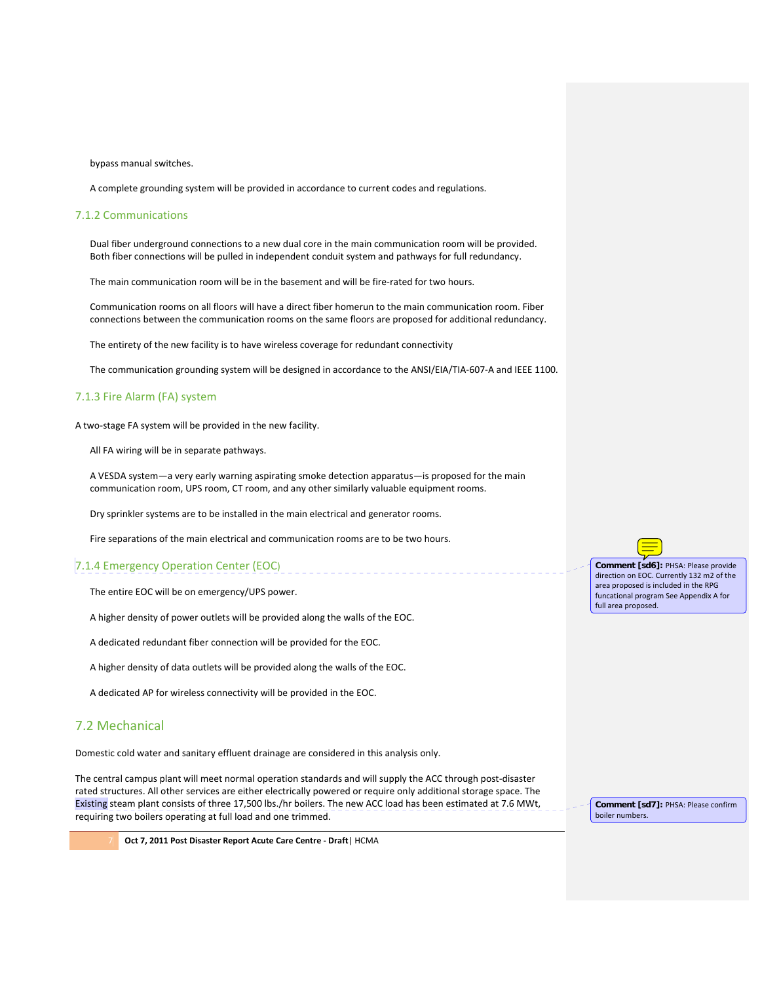bypass manual switches.

A complete grounding system will be provided in accordance to current codes and regulations.

#### 7.1.2 Communications

Dual fiber underground connections to a new dual core in the main communication room will be provided. Both fiber connections will be pulled in independent conduit system and pathways for full redundancy.

The main communication room will be in the basement and will be fire‐rated for two hours.

Communication rooms on all floors will have a direct fiber homerun to the main communication room. Fiber connections between the communication rooms on the same floors are proposed for additional redundancy.

The entirety of the new facility is to have wireless coverage for redundant connectivity

The communication grounding system will be designed in accordance to the ANSI/EIA/TIA‐607‐A and IEEE 1100.

#### 7.1.3 Fire Alarm (FA) system

A two‐stage FA system will be provided in the new facility.

All FA wiring will be in separate pathways.

A VESDA system—a very early warning aspirating smoke detection apparatus—is proposed for the main communication room, UPS room, CT room, and any other similarly valuable equipment rooms.

Dry sprinkler systems are to be installed in the main electrical and generator rooms.

Fire separations of the main electrical and communication rooms are to be two hours.

# 7.1.4 Emergency Operation Center (EOC)

The entire EOC will be on emergency/UPS power.

A higher density of power outlets will be provided along the walls of the EOC.

A dedicated redundant fiber connection will be provided for the EOC.

A higher density of data outlets will be provided along the walls of the EOC.

A dedicated AP for wireless connectivity will be provided in the EOC.

### 7.2 Mechanical

Domestic cold water and sanitary effluent drainage are considered in this analysis only.

The central campus plant will meet normal operation standards and will supply the ACC through post‐disaster rated structures. All other services are either electrically powered or require only additional storage space. The Existing steam plant consists of three 17,500 lbs./hr boilers. The new ACC load has been estimated at 7.6 MWt, requiring two boilers operating at full load and one trimmed.

**Comment [sd6]:** PHSA: Please provide direction on EOC. Currently 132 m2 of the area proposed is included in the RPG funcational program See Appendix A for full area proposed.

**Comment [sd7]:** PHSA: Please confirm boiler numbers.

7 **Oct 7, 2011 Post Disaster Report Acute Care Centre ‐ Draft**| HCMA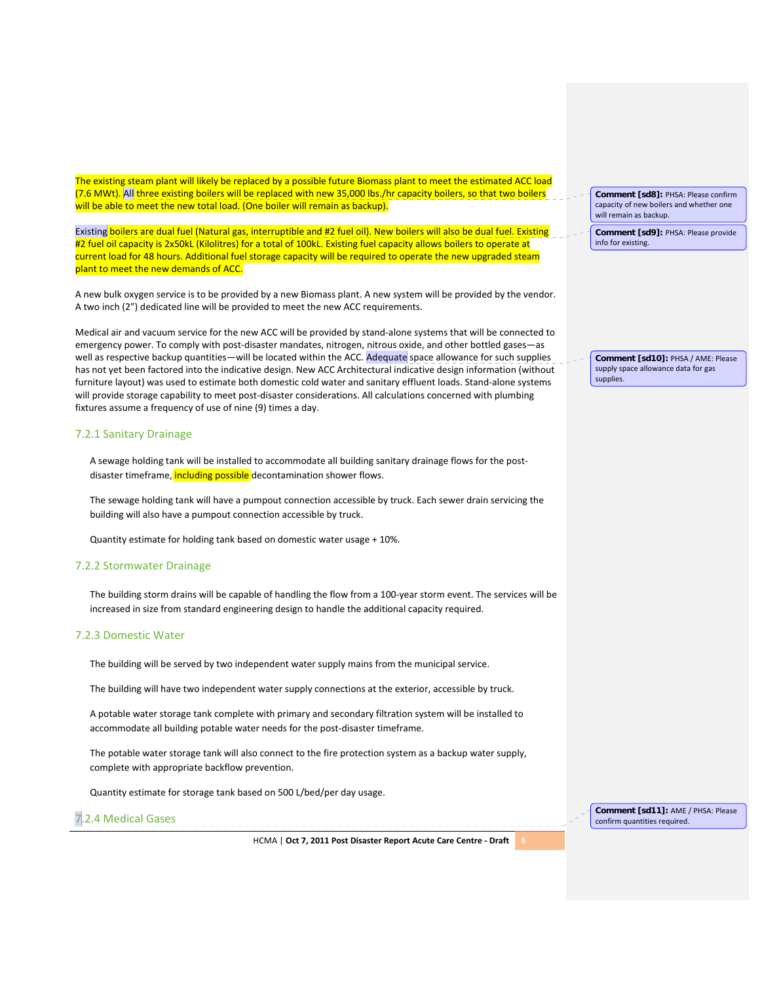The existing steam plant will likely be replaced by a possible future Biomass plant to meet the estimated ACC load (7.6 MWt). All three existing boilers will be replaced with new 35,000 lbs./hr capacity boilers, so that two boilers will be able to meet the new total load. (One boiler will remain as backup).

Existing boilers are dual fuel (Natural gas, interruptible and #2 fuel oil). New boilers will also be dual fuel. Existing #2 fuel oil capacity is 2x50kL (Kilolitres) for a total of 100kL. Existing fuel capacity allows boilers to operate at current load for 48 hours. Additional fuel storage capacity will be required to operate the new upgraded steam plant to meet the new demands of ACC.

A new bulk oxygen service is to be provided by a new Biomass plant. A new system will be provided by the vendor. A two inch (2") dedicated line will be provided to meet the new ACC requirements.

Medical air and vacuum service for the new ACC will be provided by stand‐alone systems that will be connected to emergency power. To comply with post‐disaster mandates, nitrogen, nitrous oxide, and other bottled gases—as well as respective backup quantities—will be located within the ACC. Adequate space allowance for such supplies has not yet been factored into the indicative design. New ACC Architectural indicative design information (without furniture layout) was used to estimate both domestic cold water and sanitary effluent loads. Stand‐alone systems will provide storage capability to meet post-disaster considerations. All calculations concerned with plumbing fixtures assume a frequency of use of nine (9) times a day.

#### 7.2.1 Sanitary Drainage

A sewage holding tank will be installed to accommodate all building sanitary drainage flows for the post‐ disaster timeframe, including possible decontamination shower flows.

The sewage holding tank will have a pumpout connection accessible by truck. Each sewer drain servicing the building will also have a pumpout connection accessible by truck.

Quantity estimate for holding tank based on domestic water usage + 10%.

#### 7.2.2 Stormwater Drainage

The building storm drains will be capable of handling the flow from a 100-year storm event. The services will be increased in size from standard engineering design to handle the additional capacity required.

#### 7.2.3 Domestic Water

The building will be served by two independent water supply mains from the municipal service.

The building will have two independent water supply connections at the exterior, accessible by truck.

A potable water storage tank complete with primary and secondary filtration system will be installed to accommodate all building potable water needs for the post-disaster timeframe.

The potable water storage tank will also connect to the fire protection system as a backup water supply, complete with appropriate backflow prevention.

Quantity estimate for storage tank based on 500 L/bed/per day usage.



**Comment [sd11]:** AME / PHSA: Please confirm quantities required.

HCMA | **Oct 7, 2011 Post Disaster Report Acute Care Centre ‐ Draft** 8

**Comment [sd8]:** PHSA: Please confirm capacity of new boilers and whether one will remain as backup.

**Comment [sd9]:** PHSA: Please provide info for existing.

**Comment [sd10]:** PHSA / AME: Please supply space allowance data for gas supplies.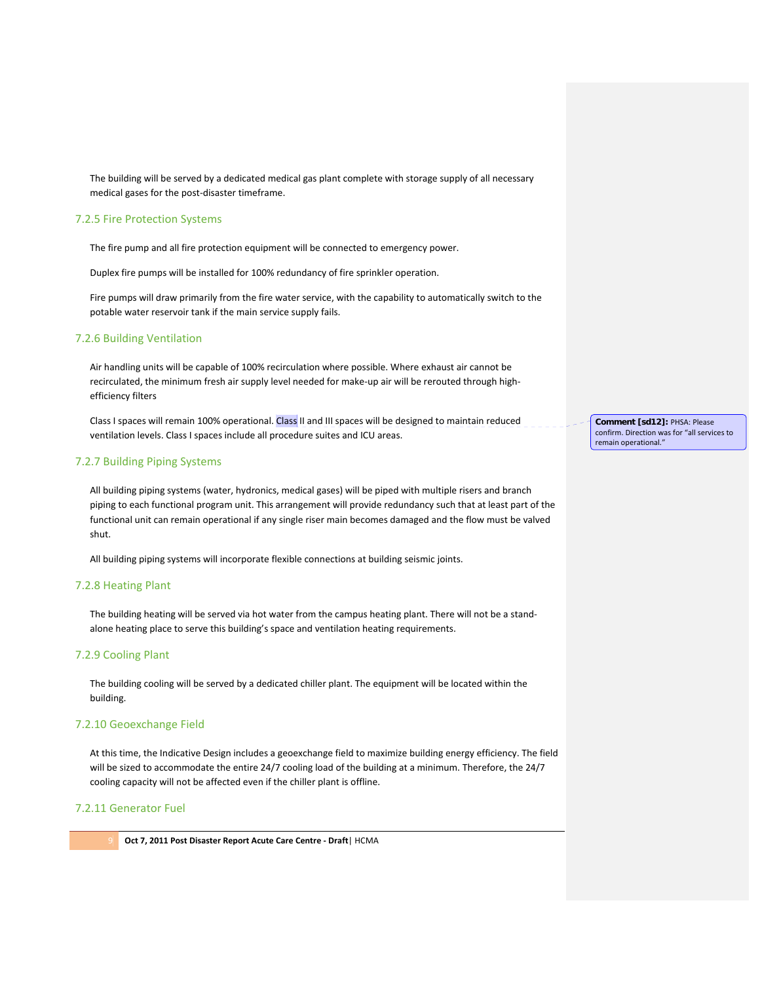The building will be served by a dedicated medical gas plant complete with storage supply of all necessary medical gases for the post‐disaster timeframe.

#### 7.2.5 Fire Protection Systems

The fire pump and all fire protection equipment will be connected to emergency power.

Duplex fire pumps will be installed for 100% redundancy of fire sprinkler operation.

Fire pumps will draw primarily from the fire water service, with the capability to automatically switch to the potable water reservoir tank if the main service supply fails.

#### 7.2.6 Building Ventilation

Air handling units will be capable of 100% recirculation where possible. Where exhaust air cannot be recirculated, the minimum fresh air supply level needed for make-up air will be rerouted through highefficiency filters

Class I spaces will remain 100% operational. Class II and III spaces will be designed to maintain reduced ventilation levels. Class I spaces include all procedure suites and ICU areas.

#### 7.2.7 Building Piping Systems

All building piping systems (water, hydronics, medical gases) will be piped with multiple risers and branch piping to each functional program unit. This arrangement will provide redundancy such that at least part of the functional unit can remain operational if any single riser main becomes damaged and the flow must be valved shut.

All building piping systems will incorporate flexible connections at building seismic joints.

#### 7.2.8 Heating Plant

The building heating will be served via hot water from the campus heating plant. There will not be a stand‐ alone heating place to serve this building's space and ventilation heating requirements.

#### 7.2.9 Cooling Plant

The building cooling will be served by a dedicated chiller plant. The equipment will be located within the building.

#### 7.2.10 Geoexchange Field

At this time, the Indicative Design includes a geoexchange field to maximize building energy efficiency. The field will be sized to accommodate the entire 24/7 cooling load of the building at a minimum. Therefore, the 24/7 cooling capacity will not be affected even if the chiller plant is offline.

#### 7.2.11 Generator Fuel

9 **Oct 7, 2011 Post Disaster Report Acute Care Centre ‐ Draft**| HCMA

**Comment [sd12]:** PHSA: Please confirm. Direction was for "all services to remain operational."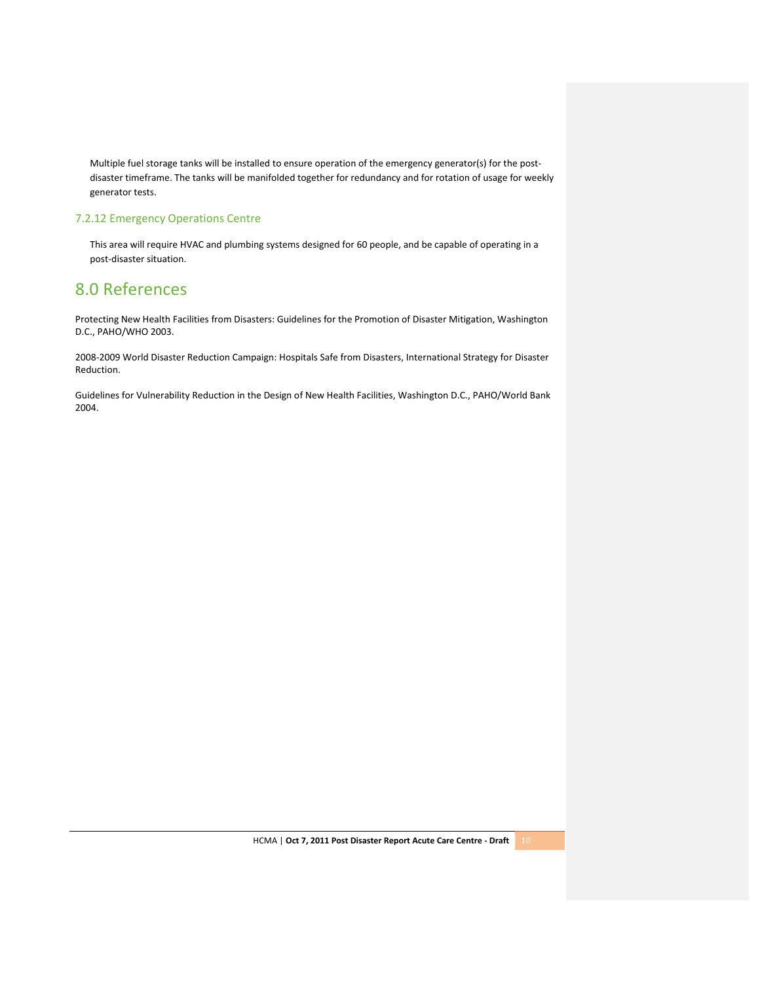Multiple fuel storage tanks will be installed to ensure operation of the emergency generator(s) for the postdisaster timeframe. The tanks will be manifolded together for redundancy and for rotation of usage for weekly generator tests.

### 7.2.12 Emergency Operations Centre

This area will require HVAC and plumbing systems designed for 60 people, and be capable of operating in a post‐disaster situation.

# 8.0 References

Protecting New Health Facilities from Disasters: Guidelines for the Promotion of Disaster Mitigation, Washington D.C., PAHO/WHO 2003.

2008‐2009 World Disaster Reduction Campaign: Hospitals Safe from Disasters, International Strategy for Disaster Reduction.

Guidelines for Vulnerability Reduction in the Design of New Health Facilities, Washington D.C., PAHO/World Bank 2004.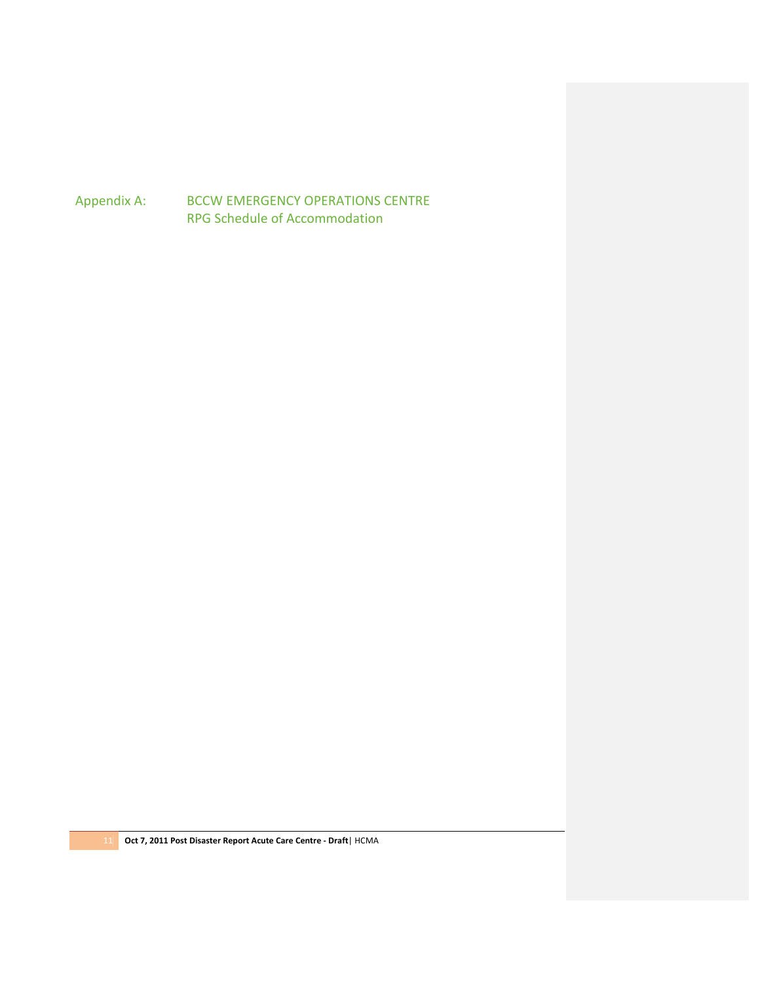Appendix A: BCCW EMERGENCY OPERATIONS CENTRE RPG Schedule of Accommodation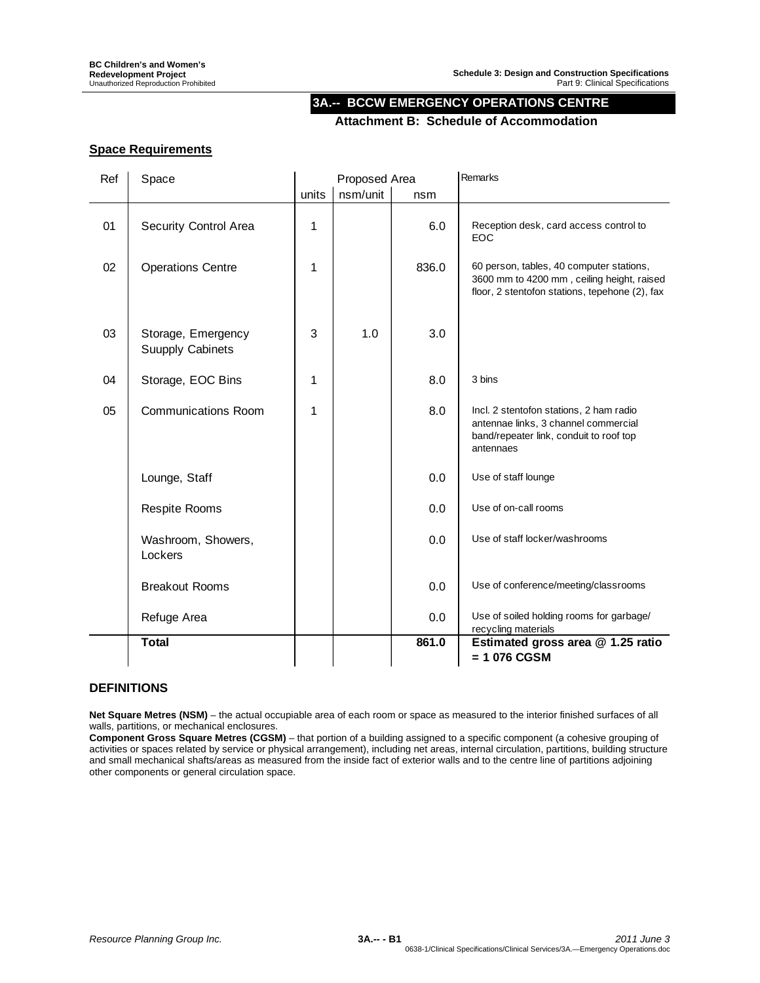# **3A.-- BCCW EMERGENCY OPERATIONS CENTRE**

## **Attachment B: Schedule of Accommodation**

# **Space Requirements**

| Ref | Space                                         | Proposed Area |          |       | Remarks                                                                                                                                  |  |
|-----|-----------------------------------------------|---------------|----------|-------|------------------------------------------------------------------------------------------------------------------------------------------|--|
|     |                                               | units         | nsm/unit | nsm   |                                                                                                                                          |  |
| 01  | Security Control Area                         | 1             |          | 6.0   | Reception desk, card access control to<br>EOC                                                                                            |  |
| 02  | <b>Operations Centre</b>                      | 1             |          | 836.0 | 60 person, tables, 40 computer stations,<br>3600 mm to 4200 mm, ceiling height, raised<br>floor, 2 stentofon stations, tepehone (2), fax |  |
| 03  | Storage, Emergency<br><b>Suupply Cabinets</b> | 3             | 1.0      | 3.0   |                                                                                                                                          |  |
| 04  | Storage, EOC Bins                             | 1             |          | 8.0   | 3 bins                                                                                                                                   |  |
| 05  | <b>Communications Room</b>                    | 1             |          | 8.0   | Incl. 2 stentofon stations, 2 ham radio<br>antennae links, 3 channel commercial<br>band/repeater link, conduit to roof top<br>antennaes  |  |
|     | Lounge, Staff                                 |               |          | 0.0   | Use of staff lounge                                                                                                                      |  |
|     | <b>Respite Rooms</b>                          |               |          | 0.0   | Use of on-call rooms                                                                                                                     |  |
|     | Washroom, Showers,<br>Lockers                 |               |          | 0.0   | Use of staff locker/washrooms                                                                                                            |  |
|     | <b>Breakout Rooms</b>                         |               |          | 0.0   | Use of conference/meeting/classrooms                                                                                                     |  |
|     | Refuge Area                                   |               |          | 0.0   | Use of soiled holding rooms for garbage/<br>recycling materials                                                                          |  |
|     | <b>Total</b>                                  |               |          | 861.0 | Estimated gross area @ 1.25 ratio<br>= 1 076 CGSM                                                                                        |  |

# **DEFINITIONS**

**Net Square Metres (NSM)** – the actual occupiable area of each room or space as measured to the interior finished surfaces of all walls, partitions, or mechanical enclosures.

**Component Gross Square Metres (CGSM)** – that portion of a building assigned to a specific component (a cohesive grouping of activities or spaces related by service or physical arrangement), including net areas, internal circulation, partitions, building structure and small mechanical shafts/areas as measured from the inside fact of exterior walls and to the centre line of partitions adjoining other components or general circulation space.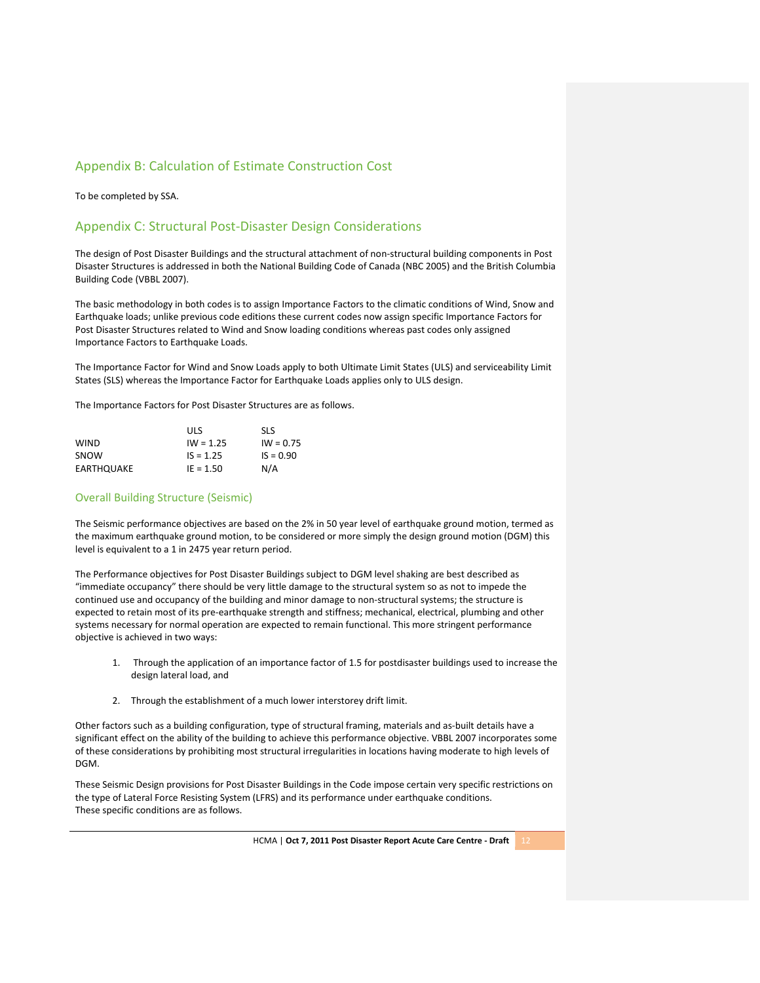## Appendix B: Calculation of Estimate Construction Cost

To be completed by SSA.

### Appendix C: Structural Post‐Disaster Design Considerations

The design of Post Disaster Buildings and the structural attachment of non‐structural building components in Post Disaster Structures is addressed in both the National Building Code of Canada (NBC 2005) and the British Columbia Building Code (VBBL 2007).

The basic methodology in both codes is to assign Importance Factors to the climatic conditions of Wind, Snow and Earthquake loads; unlike previous code editions these current codes now assign specific Importance Factors for Post Disaster Structures related to Wind and Snow loading conditions whereas past codes only assigned Importance Factors to Earthquake Loads.

The Importance Factor for Wind and Snow Loads apply to both Ultimate Limit States (ULS) and serviceability Limit States (SLS) whereas the Importance Factor for Earthquake Loads applies only to ULS design.

The Importance Factors for Post Disaster Structures are as follows.

|             | ULS         | <b>SLS</b>  |
|-------------|-------------|-------------|
| <b>WIND</b> | $IW = 1.25$ | $IW = 0.75$ |
| SNOW        | $IS = 1.25$ | $IS = 0.90$ |
| EARTHOUAKE  | $IE = 1.50$ | N/A         |

#### Overall Building Structure (Seismic)

The Seismic performance objectives are based on the 2% in 50 year level of earthquake ground motion, termed as the maximum earthquake ground motion, to be considered or more simply the design ground motion (DGM) this level is equivalent to a 1 in 2475 year return period.

The Performance objectives for Post Disaster Buildings subject to DGM level shaking are best described as "immediate occupancy" there should be very little damage to the structural system so as not to impede the continued use and occupancy of the building and minor damage to non-structural systems; the structure is expected to retain most of its pre‐earthquake strength and stiffness; mechanical, electrical, plumbing and other systems necessary for normal operation are expected to remain functional. This more stringent performance objective is achieved in two ways:

- 1. Through the application of an importance factor of 1.5 for postdisaster buildings used to increase the design lateral load, and
- 2. Through the establishment of a much lower interstorey drift limit.

Other factors such as a building configuration, type of structural framing, materials and as‐built details have a significant effect on the ability of the building to achieve this performance objective. VBBL 2007 incorporates some of these considerations by prohibiting most structural irregularities in locations having moderate to high levels of DGM.

These Seismic Design provisions for Post Disaster Buildings in the Code impose certain very specific restrictions on the type of Lateral Force Resisting System (LFRS) and its performance under earthquake conditions. These specific conditions are as follows.

HCMA | **Oct 7, 2011 Post Disaster Report Acute Care Centre ‐ Draft** 12